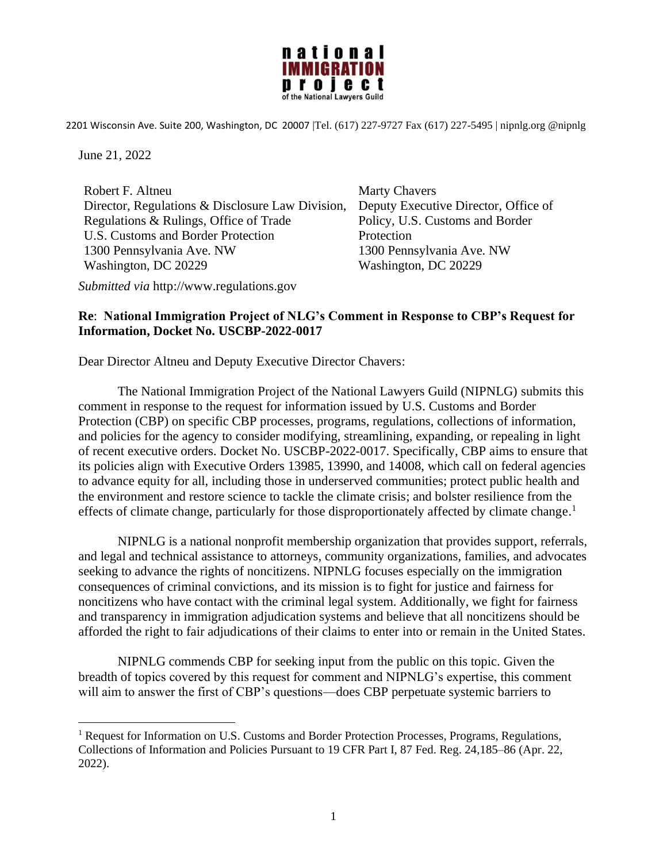

2201 Wisconsin Ave. Suite 200, Washington, DC 20007 |Tel. (617) 227-9727 Fax (617) 227-5495 | nipnlg.org @nipnlg

June 21, 2022

Robert F. Altneu Director, Regulations & Disclosure Law Division, Regulations & Rulings, Office of Trade U.S. Customs and Border Protection 1300 Pennsylvania Ave. NW Washington, DC 20229

Marty Chavers Deputy Executive Director, Office of Policy, U.S. Customs and Border **Protection** 1300 Pennsylvania Ave. NW Washington, DC 20229

*Submitted via* http://www.regulations.gov

## **Re**: **National Immigration Project of NLG's Comment in Response to CBP's Request for Information, Docket No. USCBP-2022-0017**

Dear Director Altneu and Deputy Executive Director Chavers:

The National Immigration Project of the National Lawyers Guild (NIPNLG) submits this comment in response to the request for information issued by U.S. Customs and Border Protection (CBP) on specific CBP processes, programs, regulations, collections of information, and policies for the agency to consider modifying, streamlining, expanding, or repealing in light of recent executive orders. Docket No. USCBP-2022-0017. Specifically, CBP aims to ensure that its policies align with Executive Orders 13985, 13990, and 14008, which call on federal agencies to advance equity for all, including those in underserved communities; protect public health and the environment and restore science to tackle the climate crisis; and bolster resilience from the effects of climate change, particularly for those disproportionately affected by climate change.<sup>1</sup>

NIPNLG is a national nonprofit membership organization that provides support, referrals, and legal and technical assistance to attorneys, community organizations, families, and advocates seeking to advance the rights of noncitizens. NIPNLG focuses especially on the immigration consequences of criminal convictions, and its mission is to fight for justice and fairness for noncitizens who have contact with the criminal legal system. Additionally, we fight for fairness and transparency in immigration adjudication systems and believe that all noncitizens should be afforded the right to fair adjudications of their claims to enter into or remain in the United States.

NIPNLG commends CBP for seeking input from the public on this topic. Given the breadth of topics covered by this request for comment and NIPNLG's expertise, this comment will aim to answer the first of CBP's questions—does CBP perpetuate systemic barriers to

<sup>&</sup>lt;sup>1</sup> Request for Information on U.S. Customs and Border Protection Processes, Programs, Regulations, Collections of Information and Policies Pursuant to 19 CFR Part I, 87 Fed. Reg. 24,185–86 (Apr. 22, 2022).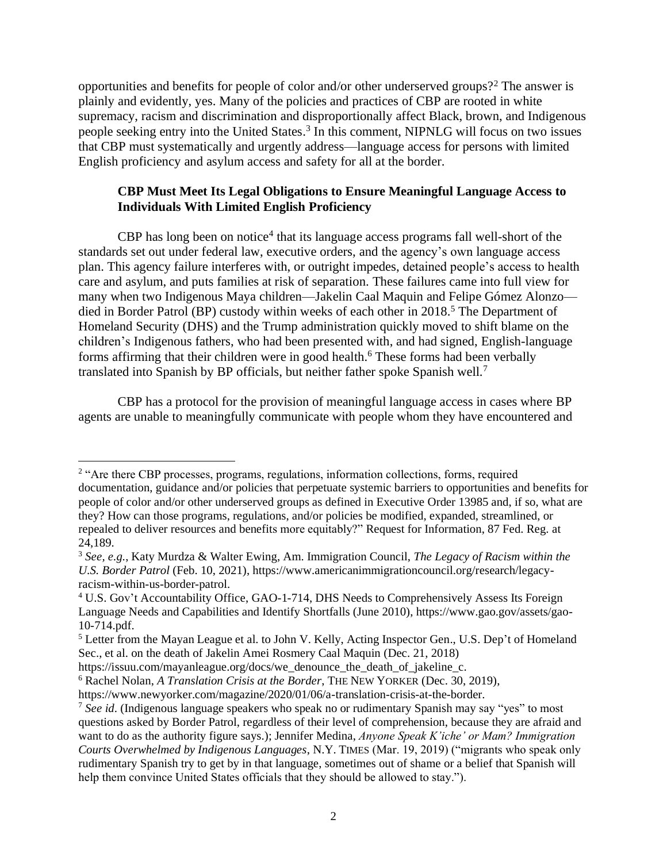opportunities and benefits for people of color and/or other underserved groups?<sup>2</sup> The answer is plainly and evidently, yes. Many of the policies and practices of CBP are rooted in white supremacy, racism and discrimination and disproportionally affect Black, brown, and Indigenous people seeking entry into the United States.<sup>3</sup> In this comment, NIPNLG will focus on two issues that CBP must systematically and urgently address—language access for persons with limited English proficiency and asylum access and safety for all at the border.

## **CBP Must Meet Its Legal Obligations to Ensure Meaningful Language Access to Individuals With Limited English Proficiency**

CBP has long been on notice<sup>4</sup> that its language access programs fall well-short of the standards set out under federal law, executive orders, and the agency's own language access plan. This agency failure interferes with, or outright impedes, detained people's access to health care and asylum, and puts families at risk of separation. These failures came into full view for many when two Indigenous Maya children—Jakelin Caal Maquin and Felipe Gómez Alonzo died in Border Patrol (BP) custody within weeks of each other in 2018. <sup>5</sup> The Department of Homeland Security (DHS) and the Trump administration quickly moved to shift blame on the children's Indigenous fathers, who had been presented with, and had signed, English-language forms affirming that their children were in good health.<sup>6</sup> These forms had been verbally translated into Spanish by BP officials, but neither father spoke Spanish well.<sup>7</sup>

CBP has a protocol for the provision of meaningful language access in cases where BP agents are unable to meaningfully communicate with people whom they have encountered and

<sup>&</sup>lt;sup>2</sup> "Are there CBP processes, programs, regulations, information collections, forms, required documentation, guidance and/or policies that perpetuate systemic barriers to opportunities and benefits for people of color and/or other underserved groups as defined in Executive Order 13985 and, if so, what are they? How can those programs, regulations, and/or policies be modified, expanded, streamlined, or repealed to deliver resources and benefits more equitably?" Request for Information, 87 Fed. Reg. at 24,189.

<sup>3</sup> *See, e.g.*, Katy Murdza & Walter Ewing, Am. Immigration Council, *The Legacy of Racism within the U.S. Border Patrol* (Feb. 10, 2021), https://www.americanimmigrationcouncil.org/research/legacyracism-within-us-border-patrol.

<sup>&</sup>lt;sup>4</sup> U.S. Gov't Accountability Office, GAO-1-714, DHS Needs to Comprehensively Assess Its Foreign Language Needs and Capabilities and Identify Shortfalls (June 2010), https://www.gao.gov/assets/gao-10-714.pdf.

<sup>&</sup>lt;sup>5</sup> Letter from the Mayan League et al. to John V. Kelly, Acting Inspector Gen., U.S. Dep't of Homeland Sec., et al. on the death of Jakelin Amei Rosmery Caal Maquin (Dec. 21, 2018)

https://issuu.com/mayanleague.org/docs/we\_denounce\_the\_death\_of\_jakeline\_c.

<sup>6</sup> Rachel Nolan, *A Translation Crisis at the Border*, THE NEW YORKER (Dec. 30, 2019), https://www.newyorker.com/magazine/2020/01/06/a-translation-crisis-at-the-border.

<sup>7</sup> *See id*. (Indigenous language speakers who speak no or rudimentary Spanish may say "yes" to most questions asked by Border Patrol, regardless of their level of comprehension, because they are afraid and want to do as the authority figure says.); Jennifer Medina, *Anyone Speak K'iche' or Mam? Immigration Courts Overwhelmed by Indigenous Languages*, N.Y. TIMES (Mar. 19, 2019) ("migrants who speak only rudimentary Spanish try to get by in that language, sometimes out of shame or a belief that Spanish will help them convince United States officials that they should be allowed to stay.").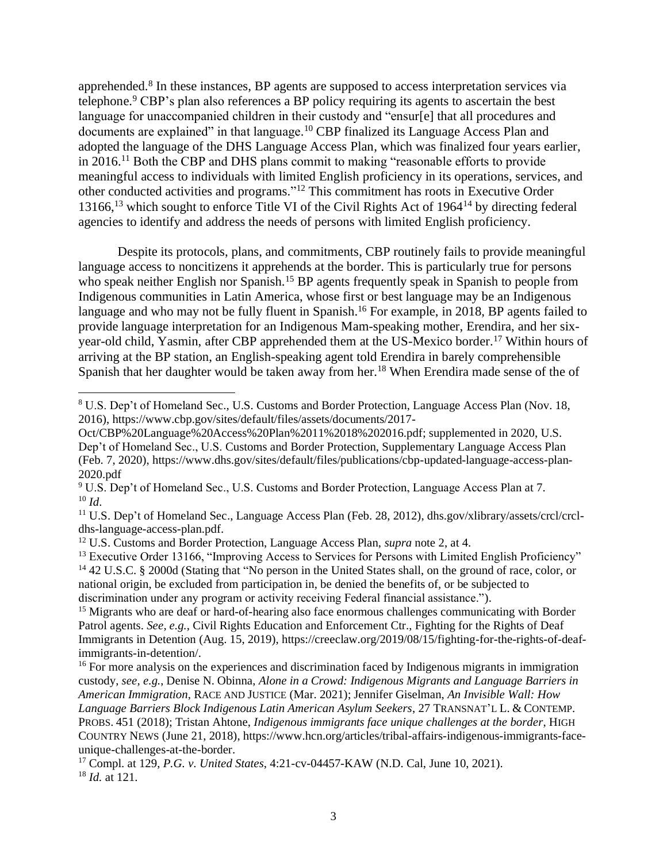apprehended.<sup>8</sup> In these instances, BP agents are supposed to access interpretation services via telephone.<sup>9</sup> CBP's plan also references a BP policy requiring its agents to ascertain the best language for unaccompanied children in their custody and "ensur[e] that all procedures and documents are explained" in that language.<sup>10</sup> CBP finalized its Language Access Plan and adopted the language of the DHS Language Access Plan, which was finalized four years earlier, in 2016. <sup>11</sup> Both the CBP and DHS plans commit to making "reasonable efforts to provide meaningful access to individuals with limited English proficiency in its operations, services, and other conducted activities and programs." <sup>12</sup> This commitment has roots in Executive Order 13166,<sup>13</sup> which sought to enforce Title VI of the Civil Rights Act of 1964<sup>14</sup> by directing federal agencies to identify and address the needs of persons with limited English proficiency.

Despite its protocols, plans, and commitments, CBP routinely fails to provide meaningful language access to noncitizens it apprehends at the border. This is particularly true for persons who speak neither English nor Spanish.<sup>15</sup> BP agents frequently speak in Spanish to people from Indigenous communities in Latin America, whose first or best language may be an Indigenous language and who may not be fully fluent in Spanish.<sup>16</sup> For example, in 2018, BP agents failed to provide language interpretation for an Indigenous Mam-speaking mother, Erendira, and her sixyear-old child, Yasmin, after CBP apprehended them at the US-Mexico border. <sup>17</sup> Within hours of arriving at the BP station, an English-speaking agent told Erendira in barely comprehensible Spanish that her daughter would be taken away from her.<sup>18</sup> When Erendira made sense of the of

<sup>11</sup> U.S. Dep't of Homeland Sec., Language Access Plan (Feb. 28, 2012), dhs.gov/xlibrary/assets/crcl/crcldhs-language-access-plan.pdf.

<sup>13</sup> Executive Order 13166, "Improving Access to Services for Persons with Limited English Proficiency" <sup>14</sup> 42 U.S.C. § 2000d (Stating that "No person in the United States shall, on the ground of race, color, or national origin, be excluded from participation in, be denied the benefits of, or be subjected to discrimination under any program or activity receiving Federal financial assistance.").

<sup>15</sup> Migrants who are deaf or hard-of-hearing also face enormous challenges communicating with Border Patrol agents. *See, e.g.*, Civil Rights Education and Enforcement Ctr., Fighting for the Rights of Deaf Immigrants in Detention (Aug. 15, 2019), https://creeclaw.org/2019/08/15/fighting-for-the-rights-of-deafimmigrants-in-detention/.

<sup>16</sup> For more analysis on the experiences and discrimination faced by Indigenous migrants in immigration custody, *see, e.g.*, Denise N. Obinna, *Alone in a Crowd: Indigenous Migrants and Language Barriers in American Immigration*, RACE AND JUSTICE (Mar. 2021); Jennifer Giselman, *An Invisible Wall: How Language Barriers Block Indigenous Latin American Asylum Seekers*, 27 TRANSNAT'L L. & CONTEMP. PROBS. 451 (2018); Tristan Ahtone, *Indigenous immigrants face unique challenges at the border*, HIGH COUNTRY NEWS (June 21, 2018), https://www.hcn.org/articles/tribal-affairs-indigenous-immigrants-faceunique-challenges-at-the-border.

<sup>17</sup> Compl. at 129, *P.G. v. United States*, 4:21-cv-04457-KAW (N.D. Cal, June 10, 2021). <sup>18</sup> *Id.* at 121.

<sup>8</sup> U.S. Dep't of Homeland Sec., U.S. Customs and Border Protection, Language Access Plan (Nov. 18, 2016), https://www.cbp.gov/sites/default/files/assets/documents/2017-

Oct/CBP%20Language%20Access%20Plan%2011%2018%202016.pdf; supplemented in 2020, U.S. Dep't of Homeland Sec., U.S. Customs and Border Protection, Supplementary Language Access Plan (Feb. 7, 2020), https://www.dhs.gov/sites/default/files/publications/cbp-updated-language-access-plan-2020.pdf

<sup>&</sup>lt;sup>9</sup> U.S. Dep't of Homeland Sec., U.S. Customs and Border Protection, Language Access Plan at 7. <sup>10</sup> *Id*.

<sup>12</sup> U.S. Customs and Border Protection, Language Access Plan, *supra* note 2, at 4.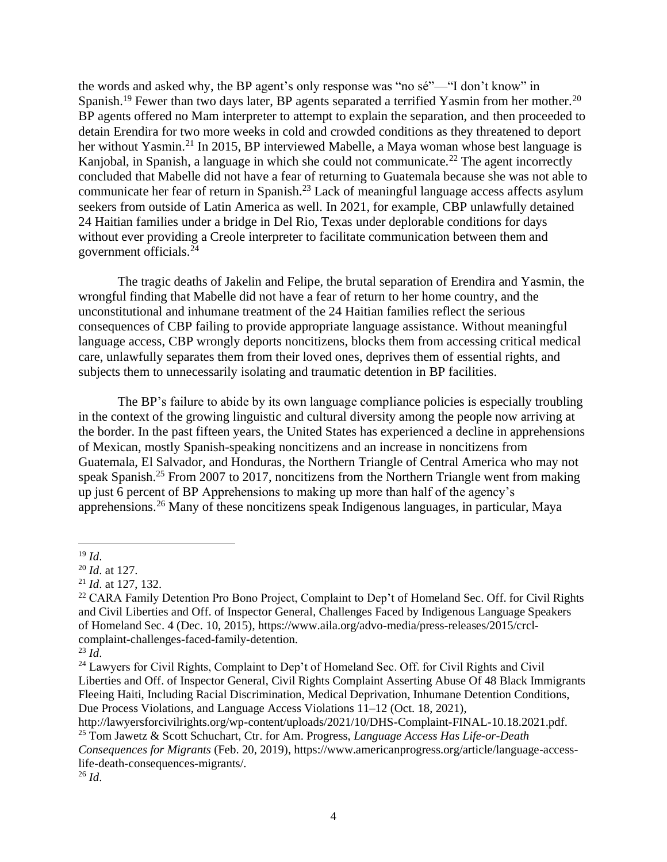the words and asked why, the BP agent's only response was "no sé"—"I don't know" in Spanish.<sup>19</sup> Fewer than two days later, BP agents separated a terrified Yasmin from her mother.<sup>20</sup> BP agents offered no Mam interpreter to attempt to explain the separation, and then proceeded to detain Erendira for two more weeks in cold and crowded conditions as they threatened to deport her without Yasmin.<sup>21</sup> In 2015, BP interviewed Mabelle, a Maya woman whose best language is Kanjobal, in Spanish, a language in which she could not communicate.<sup>22</sup> The agent incorrectly concluded that Mabelle did not have a fear of returning to Guatemala because she was not able to communicate her fear of return in Spanish.<sup>23</sup> Lack of meaningful language access affects asylum seekers from outside of Latin America as well. In 2021, for example, CBP unlawfully detained 24 Haitian families under a bridge in Del Rio, Texas under deplorable conditions for days without ever providing a Creole interpreter to facilitate communication between them and government officials.<sup>24</sup>

The tragic deaths of Jakelin and Felipe, the brutal separation of Erendira and Yasmin, the wrongful finding that Mabelle did not have a fear of return to her home country, and the unconstitutional and inhumane treatment of the 24 Haitian families reflect the serious consequences of CBP failing to provide appropriate language assistance. Without meaningful language access, CBP wrongly deports noncitizens, blocks them from accessing critical medical care, unlawfully separates them from their loved ones, deprives them of essential rights, and subjects them to unnecessarily isolating and traumatic detention in BP facilities.

The BP's failure to abide by its own language compliance policies is especially troubling in the context of the growing linguistic and cultural diversity among the people now arriving at the border. In the past fifteen years, the United States has experienced a decline in apprehensions of Mexican, mostly Spanish-speaking noncitizens and an increase in noncitizens from Guatemala, El Salvador, and Honduras, the Northern Triangle of Central America who may not speak Spanish.<sup>25</sup> From 2007 to 2017, noncitizens from the Northern Triangle went from making up just 6 percent of BP Apprehensions to making up more than half of the agency's apprehensions.<sup>26</sup> Many of these noncitizens speak Indigenous languages, in particular, Maya

<sup>19</sup> *Id*.

<sup>20</sup> *Id*. at 127.

<sup>21</sup> *Id*. at 127, 132.

<sup>&</sup>lt;sup>22</sup> CARA Family Detention Pro Bono Project, Complaint to Dep't of Homeland Sec. Off. for Civil Rights and Civil Liberties and Off. of Inspector General, Challenges Faced by Indigenous Language Speakers of Homeland Sec. 4 (Dec. 10, 2015), https://www.aila.org/advo-media/press-releases/2015/crclcomplaint-challenges-faced-family-detention.

 $^{23}$  *Id.* 

<sup>&</sup>lt;sup>24</sup> Lawyers for Civil Rights, Complaint to Dep't of Homeland Sec. Off. for Civil Rights and Civil Liberties and Off. of Inspector General, Civil Rights Complaint Asserting Abuse Of 48 Black Immigrants Fleeing Haiti, Including Racial Discrimination, Medical Deprivation, Inhumane Detention Conditions, Due Process Violations, and Language Access Violations 11–12 (Oct. 18, 2021),

http://lawyersforcivilrights.org/wp-content/uploads/2021/10/DHS-Complaint-FINAL-10.18.2021.pdf. <sup>25</sup> Tom Jawetz & Scott Schuchart, Ctr. for Am. Progress, *Language Access Has Life-or-Death* 

*Consequences for Migrants* (Feb. 20, 2019), https://www.americanprogress.org/article/language-accesslife-death-consequences-migrants/.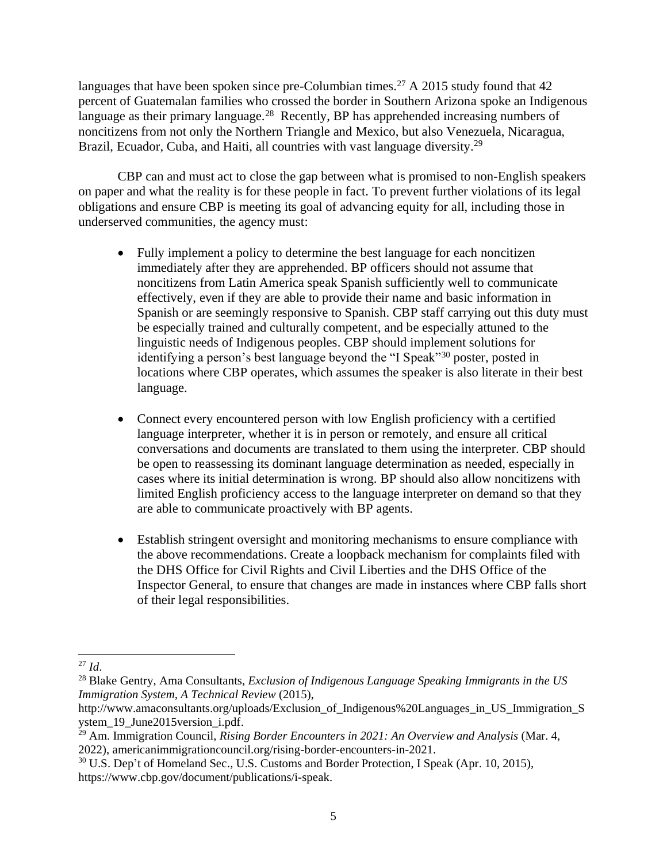languages that have been spoken since pre-Columbian times.<sup>27</sup> A 2015 study found that  $42$ percent of Guatemalan families who crossed the border in Southern Arizona spoke an Indigenous language as their primary language.<sup>28</sup> Recently, BP has apprehended increasing numbers of noncitizens from not only the Northern Triangle and Mexico, but also Venezuela, Nicaragua, Brazil, Ecuador, Cuba, and Haiti, all countries with vast language diversity.<sup>29</sup>

CBP can and must act to close the gap between what is promised to non-English speakers on paper and what the reality is for these people in fact. To prevent further violations of its legal obligations and ensure CBP is meeting its goal of advancing equity for all, including those in underserved communities, the agency must:

- Fully implement a policy to determine the best language for each noncitizen immediately after they are apprehended. BP officers should not assume that noncitizens from Latin America speak Spanish sufficiently well to communicate effectively, even if they are able to provide their name and basic information in Spanish or are seemingly responsive to Spanish. CBP staff carrying out this duty must be especially trained and culturally competent, and be especially attuned to the linguistic needs of Indigenous peoples. CBP should implement solutions for identifying a person's best language beyond the "I Speak"<sup>30</sup> poster, posted in locations where CBP operates, which assumes the speaker is also literate in their best language.
- Connect every encountered person with low English proficiency with a certified language interpreter, whether it is in person or remotely, and ensure all critical conversations and documents are translated to them using the interpreter. CBP should be open to reassessing its dominant language determination as needed, especially in cases where its initial determination is wrong. BP should also allow noncitizens with limited English proficiency access to the language interpreter on demand so that they are able to communicate proactively with BP agents.
- Establish stringent oversight and monitoring mechanisms to ensure compliance with the above recommendations. Create a loopback mechanism for complaints filed with the DHS Office for Civil Rights and Civil Liberties and the DHS Office of the Inspector General, to ensure that changes are made in instances where CBP falls short of their legal responsibilities.

<sup>27</sup> *Id*.

<sup>28</sup> Blake Gentry, Ama Consultants, *Exclusion of Indigenous Language Speaking Immigrants in the US Immigration System, A Technical Review* (2015),

http://www.amaconsultants.org/uploads/Exclusion\_of\_Indigenous%20Languages\_in\_US\_Immigration\_S ystem\_19\_June2015version\_i.pdf.

<sup>29</sup> Am. Immigration Council, *Rising Border Encounters in 2021: An Overview and Analysis* (Mar. 4, 2022), americanimmigrationcouncil.org/rising-border-encounters-in-2021.

<sup>&</sup>lt;sup>30</sup> U.S. Dep't of Homeland Sec., U.S. Customs and Border Protection, I Speak (Apr. 10, 2015), https://www.cbp.gov/document/publications/i-speak.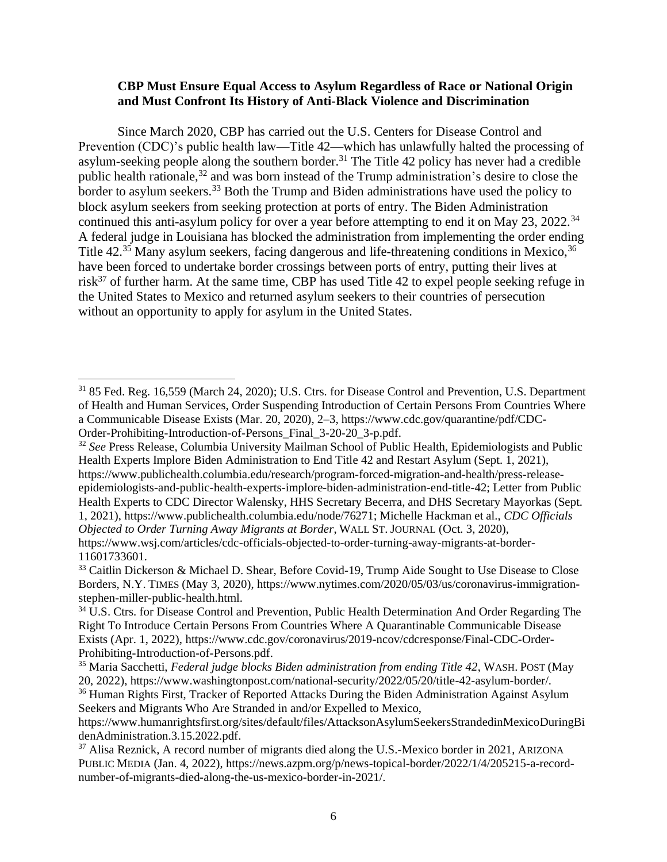## **CBP Must Ensure Equal Access to Asylum Regardless of Race or National Origin and Must Confront Its History of Anti-Black Violence and Discrimination**

Since March 2020, CBP has carried out the U.S. Centers for Disease Control and Prevention (CDC)'s public health law—Title 42—which has unlawfully halted the processing of asylum-seeking people along the southern border.<sup>31</sup> The Title 42 policy has never had a credible public health rationale,<sup>32</sup> and was born instead of the Trump administration's desire to close the border to asylum seekers.<sup>33</sup> Both the Trump and Biden administrations have used the policy to block asylum seekers from seeking protection at ports of entry. The Biden Administration continued this anti-asylum policy for over a year before attempting to end it on May 23, 2022.<sup>34</sup> A federal judge in Louisiana has blocked the administration from implementing the order ending Title 42.<sup>35</sup> Many asylum seekers, facing dangerous and life-threatening conditions in Mexico, <sup>36</sup> have been forced to undertake border crossings between ports of entry, putting their lives at risk $37$  of further harm. At the same time, CBP has used Title 42 to expel people seeking refuge in the United States to Mexico and returned asylum seekers to their countries of persecution without an opportunity to apply for asylum in the United States.

<sup>31</sup> 85 Fed. Reg. 16,559 (March 24, 2020); U.S. Ctrs. for Disease Control and Prevention, U.S. Department of Health and Human Services, Order Suspending Introduction of Certain Persons From Countries Where a Communicable Disease Exists (Mar. 20, 2020), 2–3, https://www.cdc.gov/quarantine/pdf/CDC-Order-Prohibiting-Introduction-of-Persons\_Final\_3-20-20\_3-p.pdf.

<sup>32</sup> *See* Press Release, Columbia University Mailman School of Public Health, Epidemiologists and Public Health Experts Implore Biden Administration to End Title 42 and Restart Asylum (Sept. 1, 2021), https://www.publichealth.columbia.edu/research/program-forced-migration-and-health/press-releaseepidemiologists-and-public-health-experts-implore-biden-administration-end-title-42; Letter from Public Health Experts to CDC Director Walensky, HHS Secretary Becerra, and DHS Secretary Mayorkas (Sept.

<sup>1, 2021),</sup> https://www.publichealth.columbia.edu/node/76271; Michelle Hackman et al., *CDC Officials Objected to Order Turning Away Migrants at Border*, WALL ST. JOURNAL (Oct. 3, 2020), https://www.wsj.com/articles/cdc-officials-objected-to-order-turning-away-migrants-at-border-

<sup>11601733601.</sup>

<sup>&</sup>lt;sup>33</sup> Caitlin Dickerson & Michael D. Shear, Before Covid-19, Trump Aide Sought to Use Disease to Close Borders, N.Y. TIMES (May 3, 2020), https://www.nytimes.com/2020/05/03/us/coronavirus-immigrationstephen-miller-public-health.html.

<sup>&</sup>lt;sup>34</sup> U.S. Ctrs. for Disease Control and Prevention, Public Health Determination And Order Regarding The Right To Introduce Certain Persons From Countries Where A Quarantinable Communicable Disease Exists (Apr. 1, 2022), https://www.cdc.gov/coronavirus/2019-ncov/cdcresponse/Final-CDC-Order-Prohibiting-Introduction-of-Persons.pdf.

<sup>35</sup> Maria Sacchetti, *Federal judge blocks Biden administration from ending Title 42*, WASH. POST (May 20, 2022), https://www.washingtonpost.com/national-security/2022/05/20/title-42-asylum-border/.

<sup>&</sup>lt;sup>36</sup> Human Rights First, Tracker of Reported Attacks During the Biden Administration Against Asylum Seekers and Migrants Who Are Stranded in and/or Expelled to Mexico,

https://www.humanrightsfirst.org/sites/default/files/AttacksonAsylumSeekersStrandedinMexicoDuringBi denAdministration.3.15.2022.pdf.

<sup>&</sup>lt;sup>37</sup> Alisa Reznick, A record number of migrants died along the U.S.-Mexico border in 2021, ARIZONA PUBLIC MEDIA (Jan. 4, 2022), https://news.azpm.org/p/news-topical-border/2022/1/4/205215-a-recordnumber-of-migrants-died-along-the-us-mexico-border-in-2021/.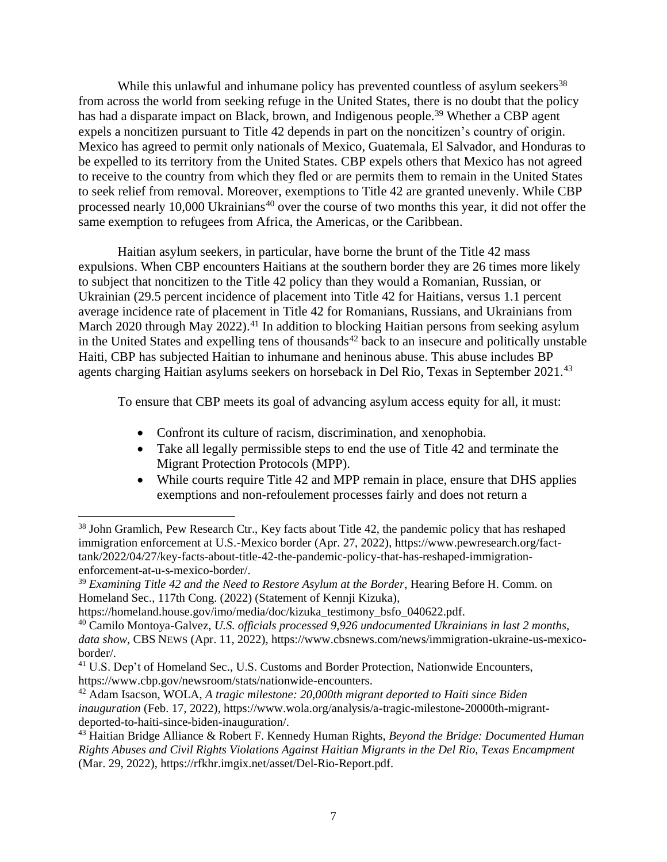While this unlawful and inhumane policy has prevented countless of asylum seekers<sup>38</sup> from across the world from seeking refuge in the United States, there is no doubt that the policy has had a disparate impact on Black, brown, and Indigenous people.<sup>39</sup> Whether a CBP agent expels a noncitizen pursuant to Title 42 depends in part on the noncitizen's country of origin. Mexico has agreed to permit only nationals of Mexico, Guatemala, El Salvador, and Honduras to be expelled to its territory from the United States. CBP expels others that Mexico has not agreed to receive to the country from which they fled or are permits them to remain in the United States to seek relief from removal. Moreover, exemptions to Title 42 are granted unevenly. While CBP processed nearly 10,000 Ukrainians<sup>40</sup> over the course of two months this year, it did not offer the same exemption to refugees from Africa, the Americas, or the Caribbean.

Haitian asylum seekers, in particular, have borne the brunt of the Title 42 mass expulsions. When CBP encounters Haitians at the southern border they are 26 times more likely to subject that noncitizen to the Title 42 policy than they would a Romanian, Russian, or Ukrainian (29.5 percent incidence of placement into Title 42 for Haitians, versus 1.1 percent average incidence rate of placement in Title 42 for Romanians, Russians, and Ukrainians from March 2020 through May 2022).<sup>41</sup> In addition to blocking Haitian persons from seeking asylum in the United States and expelling tens of thousands<sup> $42$ </sup> back to an insecure and politically unstable Haiti, CBP has subjected Haitian to inhumane and heninous abuse. This abuse includes BP agents charging Haitian asylums seekers on horseback in Del Rio, Texas in September 2021.<sup>43</sup>

To ensure that CBP meets its goal of advancing asylum access equity for all, it must:

- Confront its culture of racism, discrimination, and xenophobia.
- Take all legally permissible steps to end the use of Title 42 and terminate the Migrant Protection Protocols (MPP).
- While courts require Title 42 and MPP remain in place, ensure that DHS applies exemptions and non-refoulement processes fairly and does not return a

<sup>&</sup>lt;sup>38</sup> John Gramlich, Pew Research Ctr., Key facts about Title 42, the pandemic policy that has reshaped immigration enforcement at U.S.-Mexico border (Apr. 27, 2022), https://www.pewresearch.org/facttank/2022/04/27/key-facts-about-title-42-the-pandemic-policy-that-has-reshaped-immigrationenforcement-at-u-s-mexico-border/.

<sup>39</sup> *Examining Title 42 and the Need to Restore Asylum at the Border*, Hearing Before H. Comm. on Homeland Sec., 117th Cong. (2022) (Statement of Kennji Kizuka),

https://homeland.house.gov/imo/media/doc/kizuka\_testimony\_bsfo\_040622.pdf.

<sup>40</sup> Camilo Montoya-Galvez, *U.S. officials processed 9,926 undocumented Ukrainians in last 2 months, data show*, CBS NEWS (Apr. 11, 2022), https://www.cbsnews.com/news/immigration-ukraine-us-mexicoborder/.

<sup>&</sup>lt;sup>41</sup> U.S. Dep't of Homeland Sec., U.S. Customs and Border Protection, Nationwide Encounters, https://www.cbp.gov/newsroom/stats/nationwide-encounters.

<sup>42</sup> Adam Isacson, WOLA, *A tragic milestone: 20,000th migrant deported to Haiti since Biden inauguration* (Feb. 17, 2022), https://www.wola.org/analysis/a-tragic-milestone-20000th-migrantdeported-to-haiti-since-biden-inauguration/.

<sup>43</sup> Haitian Bridge Alliance & Robert F. Kennedy Human Rights, *Beyond the Bridge: Documented Human Rights Abuses and Civil Rights Violations Against Haitian Migrants in the Del Rio, Texas Encampment* (Mar. 29, 2022), https://rfkhr.imgix.net/asset/Del-Rio-Report.pdf.